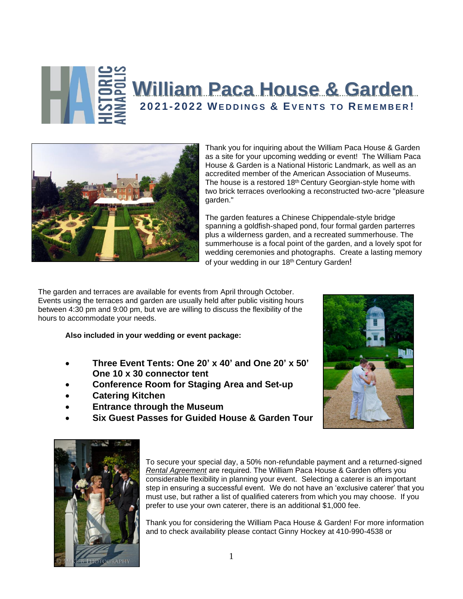



Thank you for inquiring about the William Paca House & Garden as a site for your upcoming wedding or event! The William Paca House & Garden is a National Historic Landmark, as well as an accredited member of the American Association of Museums. The house is a restored 18<sup>th</sup> Century Georgian-style home with two brick terraces overlooking a reconstructed two-acre "pleasure garden."

The garden features a Chinese Chippendale-style bridge spanning a goldfish-shaped pond, four formal garden parterres plus a wilderness garden, and a recreated summerhouse. The summerhouse is a focal point of the garden, and a lovely spot for wedding ceremonies and photographs. Create a lasting memory of your wedding in our 18<sup>th</sup> Century Garden!

The garden and terraces are available for events from April through October. Events using the terraces and garden are usually held after public visiting hours between 4:30 pm and 9:00 pm, but we are willing to discuss the flexibility of the hours to accommodate your needs.

**Also included in your wedding or event package:**

- **Three Event Tents: One 20' x 40' and One 20' x 50' One 10 x 30 connector tent**
- **Conference Room for Staging Area and Set-up**
- **Catering Kitchen**
- **Entrance through the Museum**
- **Six Guest Passes for Guided House & Garden Tour**





To secure your special day, a 50% non-refundable payment and a returned-signed *Rental Agreement* are required. The William Paca House & Garden offers you considerable flexibility in planning your event. Selecting a caterer is an important step in ensuring a successful event. We do not have an 'exclusive caterer' that you must use, but rather a list of qualified caterers from which you may choose. If you prefer to use your own caterer, there is an additional \$1,000 fee.

Thank you for considering the William Paca House & Garden! For more information and to check availability please contact Ginny Hockey at 410-990-4538 or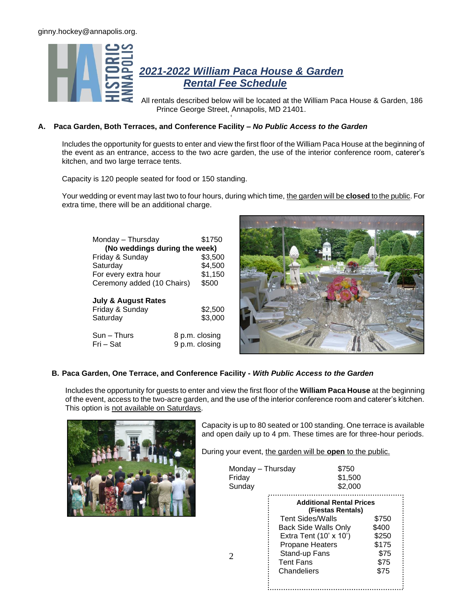

All rentals described below will be located at the William Paca House & Garden, 186 Prince George Street, Annapolis, MD 21401.

# **A. Paca Garden, Both Terraces, and Conference Facility –** *No Public Access to the Garden*

Includes the opportunity for guests to enter and view the first floor of the William Paca House at the beginning of the event as an entrance, access to the two acre garden, the use of the interior conference room, caterer's kitchen, and two large terrace tents.

'

Capacity is 120 people seated for food or 150 standing.

Your wedding or event may last two to four hours, during which time, the garden will be **closed** to the public. For extra time, there will be an additional charge.

| Monday – Thursday<br>(No weddings during the week)            | \$1750             |
|---------------------------------------------------------------|--------------------|
| Friday & Sunday                                               | \$3,500            |
| Saturday                                                      | \$4,500            |
| For every extra hour                                          | \$1,150            |
| Ceremony added (10 Chairs)                                    | \$500              |
| <b>July &amp; August Rates</b><br>Friday & Sunday<br>Saturday | \$2,500<br>\$3,000 |
| Sun – Thurs                                                   | 8 p.m. closing     |
| Fri – Sat                                                     | 9 p.m. closing     |



# **B. Paca Garden, One Terrace, and Conference Facility -** *With Public Access to the Garden*

Includes the opportunity for guests to enter and view the first floor of the **William Paca House** at the beginning of the event, access to the two-acre garden, and the use of the interior conference room and caterer's kitchen. This option is not available on Saturdays.

2



Capacity is up to 80 seated or 100 standing. One terrace is available and open daily up to 4 pm. These times are for three-hour periods.

During your event, the garden will be open to the public.

| Monday - Thursday | \$750   |
|-------------------|---------|
| Friday            | \$1,500 |
| Sunday            | \$2,000 |

|                             | <b>Additional Rental Prices</b><br>(Fiestas Rentals) |  |
|-----------------------------|------------------------------------------------------|--|
| <b>Tent Sides/Walls</b>     | \$750                                                |  |
| <b>Back Side Walls Only</b> | \$400                                                |  |
| Extra Tent (10' x 10')      | \$250                                                |  |
| <b>Propane Heaters</b>      | \$175                                                |  |
| Stand-up Fans               | \$75                                                 |  |
| <b>Tent Fans</b>            | \$75                                                 |  |
| Chandeliers                 | \$75                                                 |  |
|                             |                                                      |  |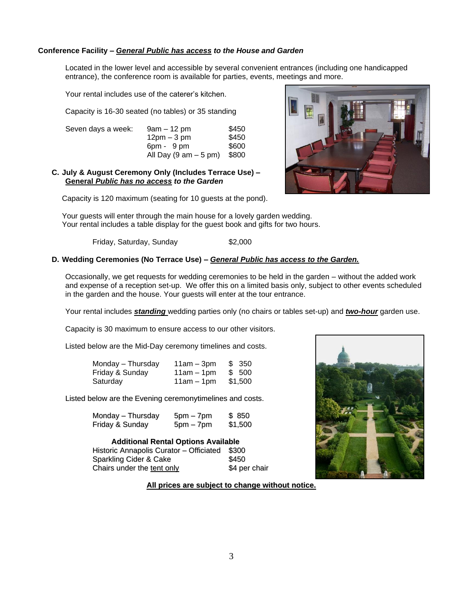## **Conference Facility –** *General Public has access to the House and Garden*

Located in the lower level and accessible by several convenient entrances (including one handicapped entrance), the conference room is available for parties, events, meetings and more.

Your rental includes use of the caterer's kitchen.

Capacity is 16-30 seated (no tables) or 35 standing

| Seven days a week: | 9am – 12 pm                             | \$450 |
|--------------------|-----------------------------------------|-------|
|                    | $12pm - 3pm$                            | \$450 |
|                    | 6pm - 9 pm                              | \$600 |
|                    | All Day $(9 \text{ am} - 5 \text{ pm})$ | \$800 |

## **C. July & August Ceremony Only (Includes Terrace Use) – General** *Public has no access to the Garden*

Capacity is 120 maximum (seating for 10 guests at the pond).



Your guests will enter through the main house for a lovely garden wedding. Your rental includes a table display for the guest book and gifts for two hours.

Friday, Saturday, Sunday \$2,000

#### **D. Wedding Ceremonies (No Terrace Use) –** *General Public has access to the Garden.*

Occasionally, we get requests for wedding ceremonies to be held in the garden – without the added work and expense of a reception set-up. We offer this on a limited basis only, subject to other events scheduled in the garden and the house. Your guests will enter at the tour entrance.

Your rental includes *standing* wedding parties only (no chairs or tables set-up) and *two-hour* garden use.

Capacity is 30 maximum to ensure access to our other visitors.

Listed below are the Mid-Day ceremony timelines and costs.

| Monday - Thursday | $11am - 3pm$ | \$ 350  |
|-------------------|--------------|---------|
| Friday & Sunday   | $11am - 1pm$ | \$ 500  |
| Saturday          | $11am - 1pm$ | \$1,500 |

Listed below are the Evening ceremonytimelines and costs.

| Monday - Thursday | $5pm - 7pm$ | \$850   |
|-------------------|-------------|---------|
| Friday & Sunday   | $5pm - 7pm$ | \$1,500 |

| <b>Additional Rental Options Available</b> |               |  |
|--------------------------------------------|---------------|--|
| Historic Annapolis Curator - Officiated    | \$300         |  |
| Sparkling Cider & Cake                     | \$450         |  |
| Chairs under the tent only                 | \$4 per chair |  |



## **All prices are subject to change without notice.**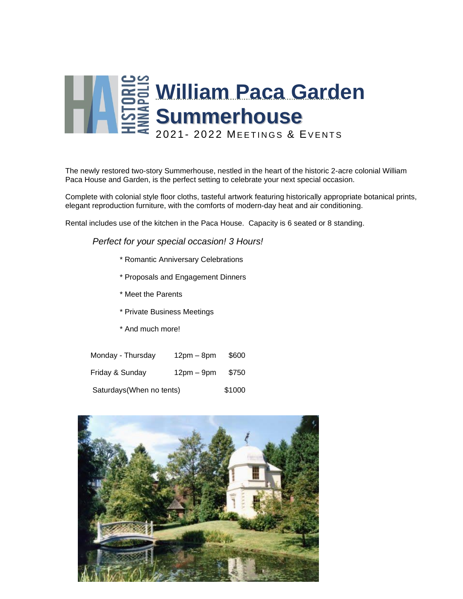

The newly restored two-story Summerhouse, nestled in the heart of the historic 2-acre colonial William Paca House and Garden, is the perfect setting to celebrate your next special occasion.

Complete with colonial style floor cloths, tasteful artwork featuring historically appropriate botanical prints, elegant reproduction furniture, with the comforts of modern-day heat and air conditioning.

Rental includes use of the kitchen in the Paca House. Capacity is 6 seated or 8 standing.

*Perfect for your special occasion! 3 Hours!*

- \* Romantic Anniversary Celebrations
- \* Proposals and Engagement Dinners
- \* Meet the Parents
- \* Private Business Meetings
- \* And much more!

| Monday - Thursday         | $12pm - 8pm$ | \$600  |
|---------------------------|--------------|--------|
| Friday & Sunday           | $12pm - 9pm$ | \$750  |
| Saturdays (When no tents) |              | \$1000 |

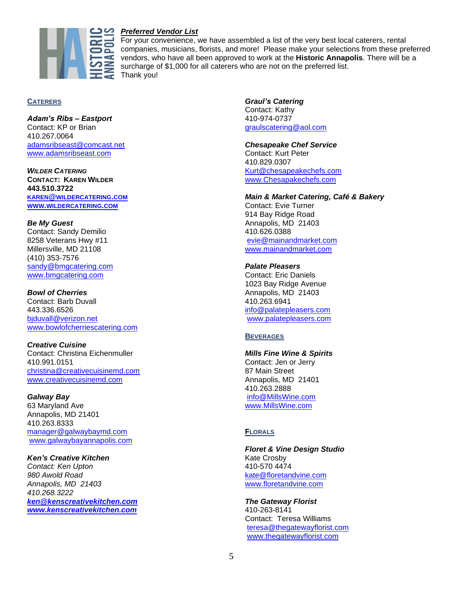

# *Preferred Vendor List*

For your convenience, we have assembled a list of the very best local caterers, rental companies, musicians, florists, and more! Please make your selections from these preferred vendors, who have all been approved to work at the **Historic Annapolis**. There will be a surcharge of \$1,000 for all caterers who are not on the preferred list. Thank you!

## **CATERERS**

*Adam's Ribs – Eastport* Contact: KP or Brian 410.267.0064 [adamsribseast@comcast.net](mailto:adamsribseast@comcast.net) [www.adamsribseast.com](http://www.adamsribseast.com/) 

*WILDER CATERING* **CONTACT: KAREN WILDER 443.510.3722 KAREN@[WILDERCATERING](mailto:karen@wildercatering.com).COM WWW.[WILDERCATERING](http://www.wildercatering.com/).COM**

# *Be My Guest*

Contact: Sandy Demilio 8258 Veterans Hwy #11 Millersville, MD 21108 (410) 353-7576 [sandy@bmgcatering.com](mailto:sandy@bmgcatering.com) [www.bmgcatering.com](http://www.bmgcatering.com/)

## *Bowl of Cherries*

Contact: Barb Duvall 443.336.6526 [bjduvall@verizon.net](mailto:bjduvall@verizon.net) [www.bowlofcherriescatering.com](http://www.bowlofcherriescatering.com/)

## *Creative Cuisine*

Contact: Christina Eichenmuller 410.991.0151 [christina@creativecuisinemd.com](mailto:christina@creativecuisinemd.com) [www.creativecuisinemd.com](http://www.creativecuisinemd.com/)

## *Galway Bay*

63 Maryland Ave Annapolis, MD 21401 410.263.8333 [manager@galwaybaymd.com](mailto:manager@galwaybaymd.com)  [www.galwaybayannapolis.com](http://www.galwaybayannapolis.com/)

#### *Ken's Creative Kitchen*

*Contact: Ken Upton 980 Awold Road Annapolis, MD 21403 410.268.3222 [ken@kenscreativekitchen.com](mailto:ken@kenscreativekitchen.com) [www.kenscreativekitchen.com](http://www.kenscreativekitchen.com/)* *Graul's Catering* Contact: Kathy 410-974-0737 [graulscatering@aol.com](mailto:graulscatering@aol.com)

#### *Chesapeake Chef Service* Contact: Kurt Peter

410.829.0307 [Kurt@chesapeakechefs.com](mailto:Kurt@chesapeakechefs.com) [www.Chesapakechefs.com](http://www.chesapakechefs.com/)

## *Main & Market Catering, Café & Bakery*

Contact: Evie Turner 914 Bay Ridge Road Annapolis, MD 21403 410.626.0388 [evie@mainandmarket.com](mailto:evie@mainandmarket.com) [www.mainandmarket.com](http://www.mainandmarket.com/)

## *Palate Pleasers*

Contact: Eric Daniels 1023 Bay Ridge Avenue Annapolis, MD 21403 410.263.6941 [info@palatepleasers.com](mailto:info@palatepleasers.com) [www.palatepleasers.com](http://www.palatepleasers.com/)

## **BEVERAGES**

#### *Mills Fine Wine & Spirits*

Contact: Jen or Jerry 87 Main Street Annapolis, MD 21401 410.263.2888 [info@MillsWine.com](mailto:info@MillsWine.com) [www.MillsWine.com](http://www.millswine.com/)

# **FLORALS**

*Floret & Vine Design Studio* Kate Crosby 410-570 4474 [kate@floretandvine.com](mailto:kate@floretandvine.com) [www.floretandvine.com](http://www.floretandvine.com/)

#### *The Gateway Florist*

410-263-8141 Contact: Teresa Williams [teresa@thegatewayflorist.com](mailto:teresa@thegatewayflorist.com) [www.thegatewayflorist.com](http://www.thegatewayflorist.com/)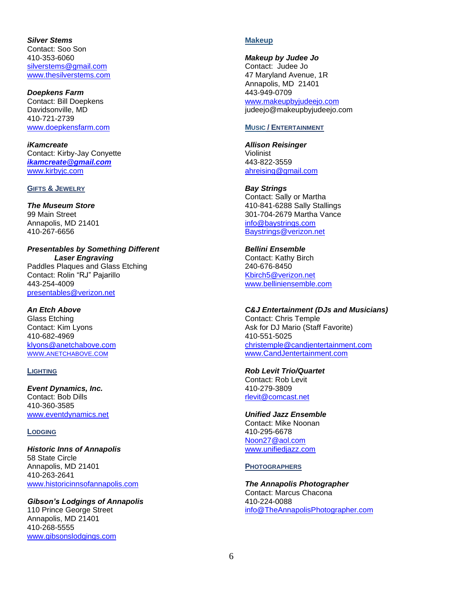*Silver Stems* Contact: Soo Son 410-353-6060 [silverstems@gmail.com](mailto:silverstems@gmail.com) [www.thesilverstems.com](http://www.thesilverstems.com/)

*Doepkens Farm* Contact: Bill Doepkens Davidsonville, MD 410-721-2739 [www.doepkensfarm.com](http://www.doepkensfarm.com/)

*iKamcreate* Contact: Kirby-Jay Conyette *[ikamcreate@gmail.com](mailto:ikamcreate@gmail.com)* [www.kirbyjc.com](http://www.kirbyjc.com/)

## **GIFTS & JEWELRY**

*The Museum Store* 99 Main Street Annapolis, MD 21401 410-267-6656

*Presentables by Something Different Laser Engraving* Paddles Plaques and Glass Etching Contact: Rolin "RJ" Pajarillo 443-254-4009 [presentables@verizon.net](mailto:presentables@verizon.net)

*An Etch Above* Glass Etching Contact: Kim Lyons 410-682-4969 [klyons@anetchabove.com](mailto:klyons@anetchabove.com) WWW.[ANETCHABOVE](http://www.anetchabove.com/).COM

## **LIGHTING**

*Event Dynamics, Inc.* Contact: Bob Dills 410-360-3585 [www.eventdynamics.net](http://www.eventdynamics.net/)

## **LODGING**

*Historic Inns of Annapolis* 58 State Circle Annapolis, MD 21401 410-263-2641 [www.historicinnsofannapolis.com](http://www.historicinnsofannapolis.com/)

*Gibson's Lodgings of Annapolis* 110 Prince George Street Annapolis, MD 21401 410-268-5555 [www.gibsonslodgings.com](http://www.gibsonslodgings.com/)

# **Makeup**

*Makeup by Judee Jo*

Contact: Judee Jo 47 Maryland Avenue, 1R Annapolis, MD 21401 443-949-0709 [www.makeupbyjudeejo.com](http://www.makeupbyjudeejo.com/) judeejo@makeupbyjudeejo.com

## **MUSIC / ENTERTAINMENT**

*Allison Reisinger* Violinist 443-822-3559 [ahreising@gmail.com](mailto:ahreising@gmail.com)

*Bay Strings* Contact: Sally or Martha 410-841-6288 Sally Stallings 301-704-2679 Martha Vance [info@baystrings.com](mailto:info@baystrings.com) [Baystrings@verizon.net](mailto:Baystrings@verizon.net)

*Bellini Ensemble* Contact: Kathy Birch 240-676-8450 [Kbirch5@verizon.net](mailto:Kbirch5@verizon.net) [www.belliniensemble.com](http://www.belliniensemble.com/)

*C&J Entertainment (DJs and Musicians)* Contact: Chris Temple Ask for DJ Mario (Staff Favorite) 410-551-5025 [christemple@candjentertainment.com](mailto:christemple@candjentertainment.com) [www.CandJentertainment.com](http://www.candjentertainment./)

*Rob Levit Trio/Quartet* Contact: Rob Levit 410-279-3809 [rlevit@comcast.net](mailto:rlevit@comcast.net)

*Unified Jazz Ensemble* Contact: Mike Noonan 410-295-6678 [Noon27@aol.com](mailto:Noon27@aol.com) [www.unifiedjazz.com](http://www.unifiedjazz.com/)

**PHOTOGRAPHERS**

*The Annapolis Photographer* Contact: Marcus Chacona 410-224-0088 [info@TheAnnapolisPhotographer.com](mailto:info@TheAnnapolisPhotographer.com)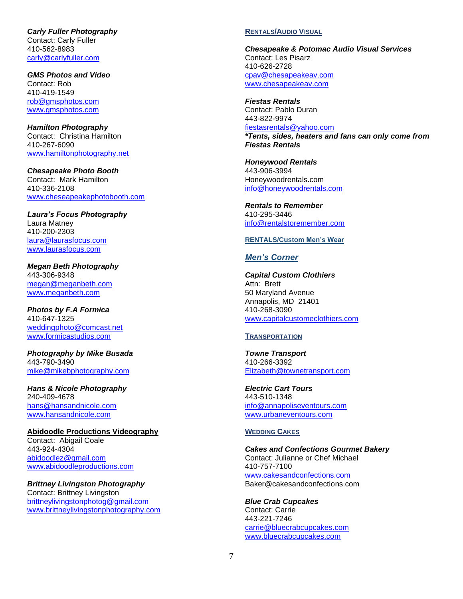*Carly Fuller Photography* Contact: Carly Fuller 410-562-8983 [carly@carlyfuller.com](mailto:carly@carlyfuller.com)

*GMS Photos and Video* Contact: Rob 410-419-1549 [rob@gmsphotos.com](mailto:rob@gmsphotos.com) [www.gmsphotos.com](http://www.gmsphotos.com/)

*Hamilton Photography* Contact: Christina Hamilton 410-267-6090 [www.hamiltonphotography.net](http://www.hamiltonphotography.net/)

*Chesapeake Photo Booth* Contact: Mark Hamilton 410-336-2108 [www.cheseapeakephotobooth.com](http://www.cheseapeakephotobooth.com/)

*Laura's Focus Photography* Laura Matney 410-200-2303 [laura@laurasfocus.com](mailto:laura@laurasfocus.com) [www.laurasfocus.com](http://www.laurasfocus.com/)

*Megan Beth Photography* 443-306-9348 [megan@meganbeth.com](mailto:megan@meganbeth.com) [www.meganbeth.com](http://www.meganbeth.com/)

*Photos by F.A Formica* 410-647-1325 [weddingphoto@comcast.net](mailto:weddingphoto@comcast.net) [www.formicastudios.com](http://www.formicastudios.com/)

*Photography by Mike Busada* 443-790-3490 [mike@mikebphotography.com](mailto:mike@mikebphotography.com)

*Hans & Nicole Photography* 240-409-4678 [hans@hansandnicole.com](mailto:hans@hansandnicole.com) [www.hansandnicole.com](http://www.hansandnicole.com/)

**Abidoodle Productions Videography** Contact: Abigail Coale 443-924-4304 [abidoodlez@gmail.com](mailto:abidoodlez@gmail.com) [www.abidoodleproductions.com](http://www.abidoodleproductions.com/)

*Brittney Livingston Photography* Contact: Brittney Livingston [brittneylivingstonphotog@gmail.com](mailto:brittneylivingstonphotog@gmail.com) [www.brittneylivingstonphotography.com](http://www.brittneylivingstonphotography.com/)

#### **RENTALS/AUDIO VISUAL**

*Chesapeake & Potomac Audio Visual Services* Contact: Les Pisarz 410-626-2728 [cpav@chesapeakeav.com](mailto:cpav@chesapeakeav.com) [www.chesapeakeav.com](http://www.chesapeakeav.com/)

*Fiestas Rentals* Contact: Pablo Duran 443-822-9974 [fiestasrentals@yahoo.com](mailto:fiestasrentals@yahoo.com) *\*Tents, sides, heaters and fans can only come from* 

*Fiestas Rentals*

*Honeywood Rentals* 443-906-3994 Honeywoodrentals.com [info@honeywoodrentals.com](mailto:info@honeywoodrentals.com)

*Rentals to Remember*  410-295-3446 [info@rentalstoremember.com](mailto:info@rentalstoremember.com)

#### **RENTALS/Custom Men's Wear**

#### *Men's Corner*

*Capital Custom Clothiers* Attn: Brett 50 Maryland Avenue Annapolis, MD 21401 410-268-3090 [www.capitalcustomeclothiers.com](http://www.capitalcustomeclothiers.com/)

#### **TRANSPORTATION**

*Towne Transport* 410-266-3392 [Elizabeth@townetransport.com](mailto:Elizabeth@townetransport.com)

*Electric Cart Tours* 443-510-1348 [info@annapoliseventours.com](mailto:info@urbaneventours.com) [www.urbaneventours.com](http://www.urbaneventours.com/)

#### **WEDDING CAKES**

*Cakes and Confections Gourmet Bakery* Contact: Julianne or Chef Michael 410-757-7100 [www.cakesandconfections.com](http://www.cakesandconfections.com/) Baker@cakesandconfections.com

*Blue Crab Cupcakes* Contact: Carrie 443-221-7246 [carrie@bluecrabcupcakes.com](mailto:carrie@bluecrabcupcakes.com) [www.bluecrabcupcakes.com](http://www.bluecrabcupcakes.com/)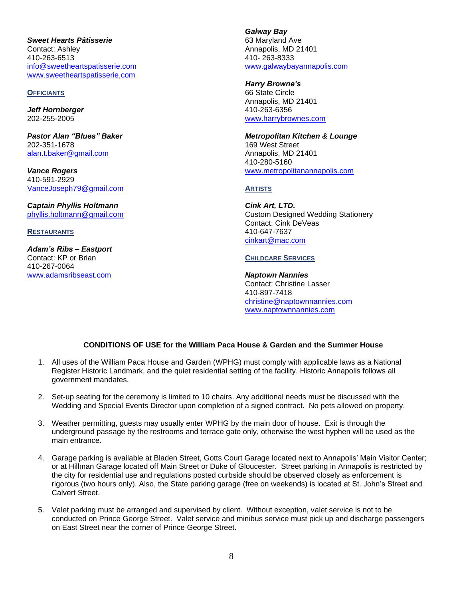*Sweet Hearts Pâtisserie* Contact: Ashley 410-263-6513 [info@sweetheartspatisserie.com](mailto:info@sweetheartspatisserie.com) [www.sweetheartspatisserie,com](http://www.sweetheartspatisserie,com/)

#### **OFFICIANTS**

*Jeff Hornberger* 202-255-2005

*Pastor Alan "Blues" Baker* 202-351-1678 [alan.t.baker@gmail.com](mailto:alan.t.baker@gmail.com)

*Vance Rogers* 410-591-2929 [VanceJoseph79@gmail.com](mailto:VanceJoseph79@gmail.com)

*Captain Phyllis Holtmann* [phyllis.holtmann@gmail.com](mailto:phyllis.holtmann@gmail.com)

**RESTAURANTS** 

*Adam's Ribs – Eastport* Contact: KP or Brian 410-267-0064 [www.adamsribseast.com](http://www.adamsribseast.com/)

*Galway Bay* 63 Maryland Ave Annapolis, MD 21401 410- 263-8333 [www.galwaybayannapolis.com](http://www.galwaybayannapolis.com/)

*Harry Browne's*  66 State Circle Annapolis, MD 21401 410-263-6356 [www.harrybrownes.com](http://www.harrybrownes.com/)

*Metropolitan Kitchen & Lounge* 169 West Street Annapolis, MD 21401 410-280-5160 [www.metropolitanannapolis.com](http://www.metropolitanannapolis.com/)

#### **ARTISTS**

*Cink Art, LTD.* Custom Designed Wedding Stationery Contact: Cink DeVeas 410-647-7637 [cinkart@mac.com](mailto:cinkart@mac.com)

## **CHILDCARE SERVICES**

*Naptown Nannies* Contact: Christine Lasser 410-897-7418 [christine@naptownnannies.com](mailto:christine@naptownnannies.com)  [www.naptownnannies.com](http://www.naptownnannies.com/)

# **CONDITIONS OF USE for the William Paca House & Garden and the Summer House**

- 1. All uses of the William Paca House and Garden (WPHG) must comply with applicable laws as a National Register Historic Landmark, and the quiet residential setting of the facility. Historic Annapolis follows all government mandates.
- 2. Set-up seating for the ceremony is limited to 10 chairs. Any additional needs must be discussed with the Wedding and Special Events Director upon completion of a signed contract. No pets allowed on property.
- 3. Weather permitting, guests may usually enter WPHG by the main door of house. Exit is through the underground passage by the restrooms and terrace gate only, otherwise the west hyphen will be used as the main entrance.
- 4. Garage parking is available at Bladen Street, Gotts Court Garage located next to Annapolis' Main Visitor Center; or at Hillman Garage located off Main Street or Duke of Gloucester. Street parking in Annapolis is restricted by the city for residential use and regulations posted curbside should be observed closely as enforcement is rigorous (two hours only). Also, the State parking garage (free on weekends) is located at St. John's Street and Calvert Street.
- 5. Valet parking must be arranged and supervised by client. Without exception, valet service is not to be conducted on Prince George Street. Valet service and minibus service must pick up and discharge passengers on East Street near the corner of Prince George Street.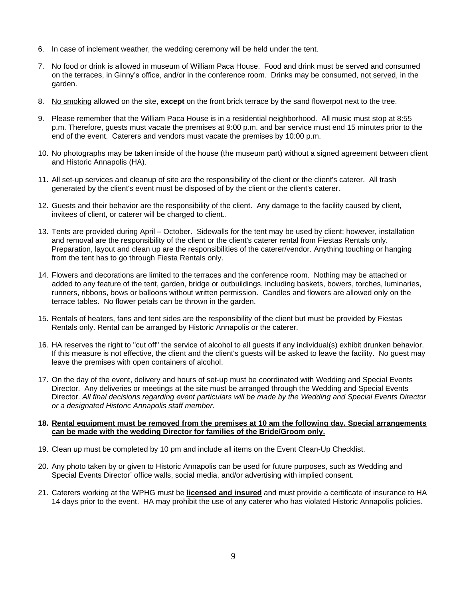- 6. In case of inclement weather, the wedding ceremony will be held under the tent.
- 7. No food or drink is allowed in museum of William Paca House. Food and drink must be served and consumed on the terraces, in Ginny's office, and/or in the conference room. Drinks may be consumed, not served, in the garden.
- 8. No smoking allowed on the site, **except** on the front brick terrace by the sand flowerpot next to the tree.
- 9. Please remember that the William Paca House is in a residential neighborhood. All music must stop at 8:55 p.m. Therefore, guests must vacate the premises at 9:00 p.m. and bar service must end 15 minutes prior to the end of the event. Caterers and vendors must vacate the premises by 10:00 p.m.
- 10. No photographs may be taken inside of the house (the museum part) without a signed agreement between client and Historic Annapolis (HA).
- 11. All set-up services and cleanup of site are the responsibility of the client or the client's caterer. All trash generated by the client's event must be disposed of by the client or the client's caterer.
- 12. Guests and their behavior are the responsibility of the client. Any damage to the facility caused by client, invitees of client, or caterer will be charged to client..
- 13. Tents are provided during April October. Sidewalls for the tent may be used by client; however, installation and removal are the responsibility of the client or the client's caterer rental from Fiestas Rentals only. Preparation, layout and clean up are the responsibilities of the caterer/vendor. Anything touching or hanging from the tent has to go through Fiesta Rentals only.
- 14. Flowers and decorations are limited to the terraces and the conference room. Nothing may be attached or added to any feature of the tent, garden, bridge or outbuildings, including baskets, bowers, torches, luminaries, runners, ribbons, bows or balloons without written permission. Candles and flowers are allowed only on the terrace tables. No flower petals can be thrown in the garden.
- 15. Rentals of heaters, fans and tent sides are the responsibility of the client but must be provided by Fiestas Rentals only. Rental can be arranged by Historic Annapolis or the caterer.
- 16. HA reserves the right to "cut off" the service of alcohol to all guests if any individual(s) exhibit drunken behavior. If this measure is not effective, the client and the client's guests will be asked to leave the facility. No guest may leave the premises with open containers of alcohol.
- 17. On the day of the event, delivery and hours of set-up must be coordinated with Wedding and Special Events Director. Any deliveries or meetings at the site must be arranged through the Wedding and Special Events Director. *All final decisions regarding event particulars will be made by the Wedding and Special Events Director or a designated Historic Annapolis staff member*.

## **18. Rental equipment must be removed from the premises at 10 am the following day. Special arrangements can be made with the wedding Director for families of the Bride/Groom only.**

- 19. Clean up must be completed by 10 pm and include all items on the Event Clean-Up Checklist.
- 20. Any photo taken by or given to Historic Annapolis can be used for future purposes, such as Wedding and Special Events Director' office walls, social media, and/or advertising with implied consent.
- 21. Caterers working at the WPHG must be **licensed and insured** and must provide a certificate of insurance to HA 14 days prior to the event. HA may prohibit the use of any caterer who has violated Historic Annapolis policies.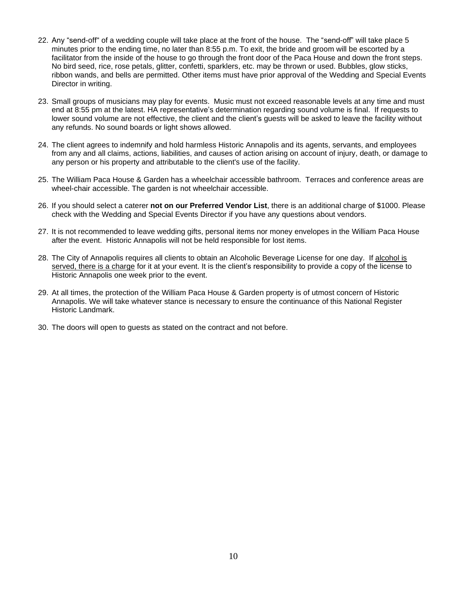- 22. Any "send-off" of a wedding couple will take place at the front of the house. The "send-off" will take place 5 minutes prior to the ending time, no later than 8:55 p.m. To exit, the bride and groom will be escorted by a facilitator from the inside of the house to go through the front door of the Paca House and down the front steps. No bird seed, rice, rose petals, glitter, confetti, sparklers, etc. may be thrown or used. Bubbles, glow sticks, ribbon wands, and bells are permitted. Other items must have prior approval of the Wedding and Special Events Director in writing.
- 23. Small groups of musicians may play for events. Music must not exceed reasonable levels at any time and must end at 8:55 pm at the latest. HA representative's determination regarding sound volume is final. If requests to lower sound volume are not effective, the client and the client's guests will be asked to leave the facility without any refunds. No sound boards or light shows allowed.
- 24. The client agrees to indemnify and hold harmless Historic Annapolis and its agents, servants, and employees from any and all claims, actions, liabilities, and causes of action arising on account of injury, death, or damage to any person or his property and attributable to the client's use of the facility.
- 25. The William Paca House & Garden has a wheelchair accessible bathroom. Terraces and conference areas are wheel-chair accessible. The garden is not wheelchair accessible.
- 26. If you should select a caterer **not on our Preferred Vendor List**, there is an additional charge of \$1000. Please check with the Wedding and Special Events Director if you have any questions about vendors.
- 27. It is not recommended to leave wedding gifts, personal items nor money envelopes in the William Paca House after the event. Historic Annapolis will not be held responsible for lost items.
- 28. The City of Annapolis requires all clients to obtain an Alcoholic Beverage License for one day. If alcohol is served, there is a charge for it at your event. It is the client's responsibility to provide a copy of the license to Historic Annapolis one week prior to the event.
- 29. At all times, the protection of the William Paca House & Garden property is of utmost concern of Historic Annapolis. We will take whatever stance is necessary to ensure the continuance of this National Register Historic Landmark.
- 30. The doors will open to guests as stated on the contract and not before.